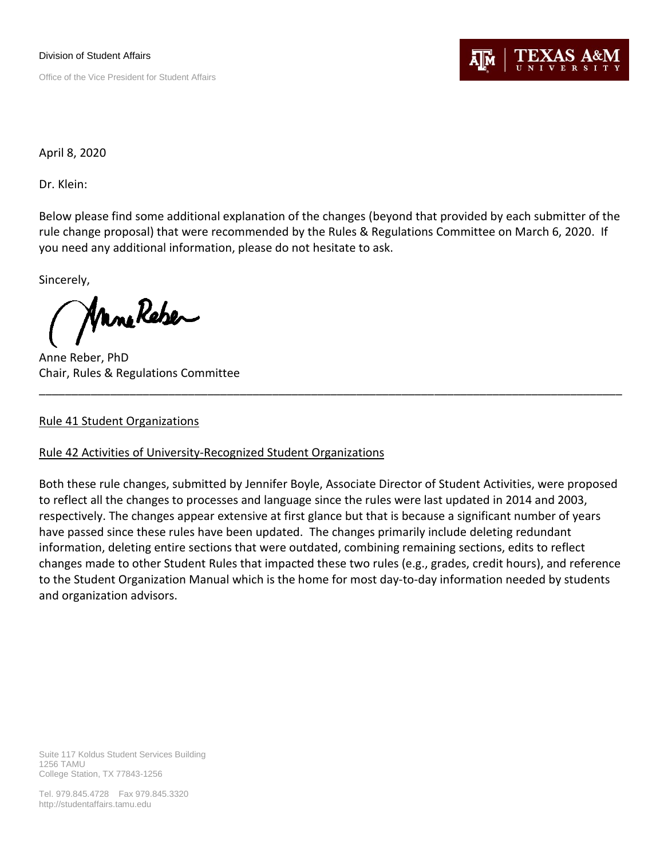Division of Student Affairs Office of the Vice President for Student Affairs



April 8, 2020

Dr. Klein:

Below please find some additional explanation of the changes (beyond that provided by each submitter of the rule change proposal) that were recommended by the Rules & Regulations Committee on March 6, 2020. If you need any additional information, please do not hesitate to ask.

Sincerely,

ManeReber

Anne Reber, PhD Chair, Rules & Regulations Committee

## Rule 41 Student Organizations

## Rule 42 Activities of University-Recognized Student Organizations

Both these rule changes, submitted by Jennifer Boyle, Associate Director of Student Activities, were proposed to reflect all the changes to processes and language since the rules were last updated in 2014 and 2003, respectively. The changes appear extensive at first glance but that is because a significant number of years have passed since these rules have been updated. The changes primarily include deleting redundant information, deleting entire sections that were outdated, combining remaining sections, edits to reflect changes made to other Student Rules that impacted these two rules (e.g., grades, credit hours), and reference to the Student Organization Manual which is the home for most day-to-day information needed by students and organization advisors.

\_\_\_\_\_\_\_\_\_\_\_\_\_\_\_\_\_\_\_\_\_\_\_\_\_\_\_\_\_\_\_\_\_\_\_\_\_\_\_\_\_\_\_\_\_\_\_\_\_\_\_\_\_\_\_\_\_\_\_\_\_\_\_\_\_\_\_\_\_\_\_\_\_\_\_\_\_\_\_\_\_\_\_\_\_\_\_\_\_\_

Tel. 979.845.4728 Fax 979.845.3320 http://studentaffairs.tamu.edu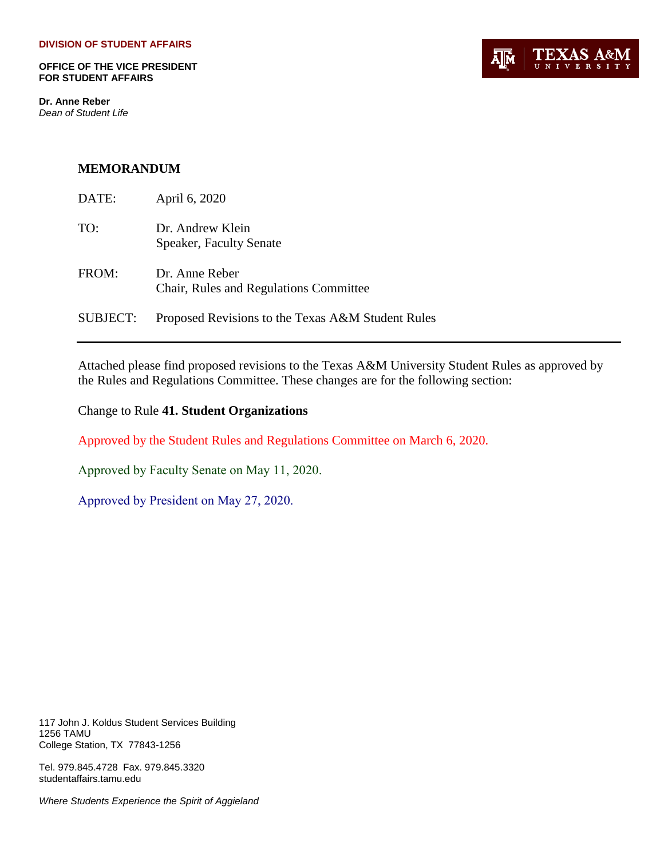**OFFICE OF THE VICE PRESIDENT FOR STUDENT AFFAIRS**

**Dr. Anne Reber** *Dean of Student Life*



#### **MEMORANDUM**

| DATE:    | April 6, 2020                                            |
|----------|----------------------------------------------------------|
| TO:      | Dr. Andrew Klein<br><b>Speaker, Faculty Senate</b>       |
| FROM:    | Dr. Anne Reber<br>Chair, Rules and Regulations Committee |
| SUBJECT: | Proposed Revisions to the Texas A&M Student Rules        |

Attached please find proposed revisions to the Texas A&M University Student Rules as approved by the Rules and Regulations Committee. These changes are for the following section:

Change to Rule **41. Student Organizations** 

Approved by the Student Rules and Regulations Committee on March 6, 2020.

Approved by Faculty Senate on May 11, 2020.

Approved by President on May 27, 2020.

117 John J. Koldus Student Services Building 1256 TAMU College Station, TX 77843-1256

Tel. 979.845.4728 Fax. 979.845.3320 studentaffairs.tamu.edu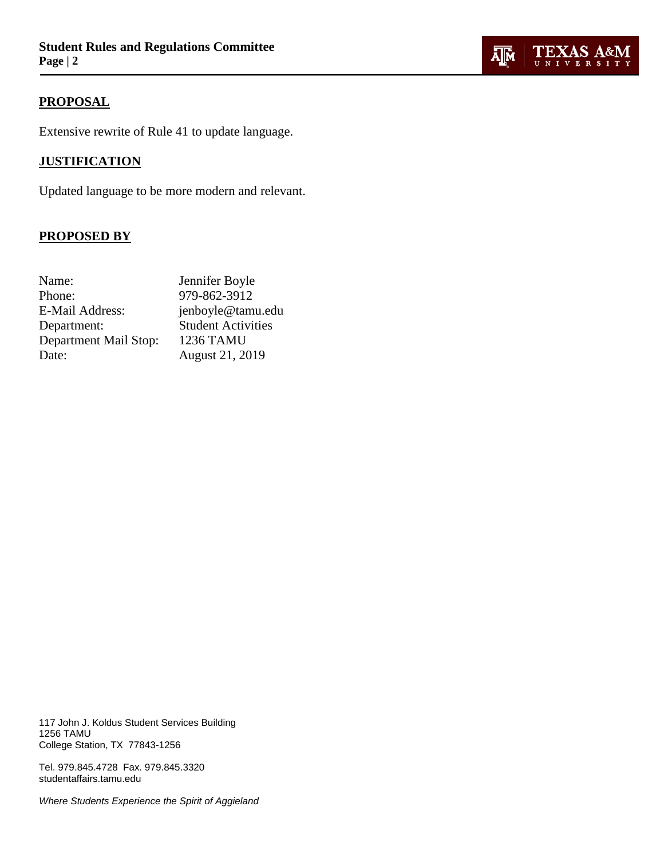

## **PROPOSAL**

Extensive rewrite of Rule 41 to update language.

## **JUSTIFICATION**

Updated language to be more modern and relevant.

## **PROPOSED BY**

| 979-862-3912<br>Phone:<br>E-Mail Address:<br><b>Student Activities</b><br>Department:<br><b>1236 TAMU</b><br>Department Mail Stop: | Name: | Jennifer Boyle    |
|------------------------------------------------------------------------------------------------------------------------------------|-------|-------------------|
|                                                                                                                                    |       |                   |
|                                                                                                                                    |       | jenboyle@tamu.edu |
|                                                                                                                                    |       |                   |
|                                                                                                                                    |       |                   |
|                                                                                                                                    | Date: | August 21, 2019   |

117 John J. Koldus Student Services Building 1256 TAMU College Station, TX 77843-1256

Tel. 979.845.4728 Fax. 979.845.3320 studentaffairs.tamu.edu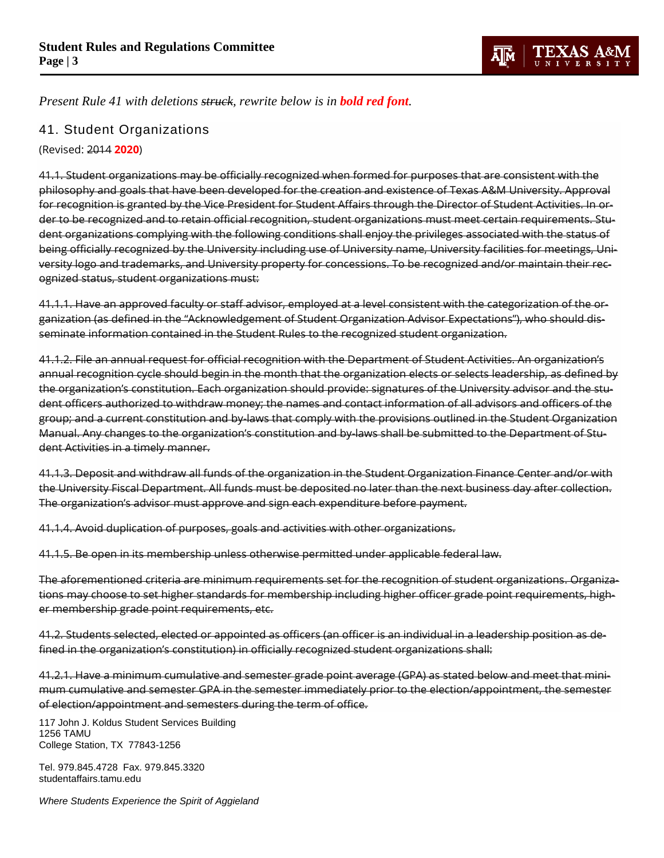

*Present Rule 41 with deletions struck, rewrite below is in bold red font.*

## 41. Student Organizations

(Revised: 2014 **2020**)

41.1. Student organizations may be officially recognized when formed for purposes that are consistent with the philosophy and goals that have been developed for the creation and existence of Texas A&M University. Approval for recognition is granted by the Vice President for Student Affairs through the Director of Student Activities. In order to be recognized and to retain official recognition, student organizations must meet certain requirements. Student organizations complying with the following conditions shall enjoy the privileges associated with the status of being officially recognized by the University including use of University name, University facilities for meetings, University logo and trademarks, and University property for concessions. To be recognized and/or maintain their recognized status, student organizations must:

41.1.1. Have an approved faculty or staff advisor, employed at a level consistent with the categorization of the organization (as defined in the "Acknowledgement of Student Organization Advisor Expectations"), who should disseminate information contained in the Student Rules to the recognized student organization.

41.1.2. File an annual request for official recognition with the Department of Student Activities. An organization's annual recognition cycle should begin in the month that the organization elects or selects leadership, as defined by the organization's constitution. Each organization should provide: signatures of the University advisor and the student officers authorized to withdraw money; the names and contact information of all advisors and officers of the group; and a current constitution and by-laws that comply with the provisions outlined in the Student Organization Manual. Any changes to the organization's constitution and by-laws shall be submitted to the Department of Student Activities in a timely manner.

41.1.3. Deposit and withdraw all funds of the organization in the Student Organization Finance Center and/or with the University Fiscal Department. All funds must be deposited no later than the next business day after collection. The organization's advisor must approve and sign each expenditure before payment.

41.1.4. Avoid duplication of purposes, goals and activities with other organizations.

41.1.5. Be open in its membership unless otherwise permitted under applicable federal law.

The aforementioned criteria are minimum requirements set for the recognition of student organizations. Organizations may choose to set higher standards for membership including higher officer grade point requirements, higher membership grade point requirements, etc.

41.2. Students selected, elected or appointed as officers (an officer is an individual in a leadership position as defined in the organization's constitution) in officially recognized student organizations shall:

41.2.1. Have a minimum cumulative and semester grade point average (GPA) as stated below and meet that minimum cumulative and semester GPA in the semester immediately prior to the election/appointment, the semester of election/appointment and semesters during the term of office.

117 John J. Koldus Student Services Building 1256 TAMU College Station, TX 77843-1256

Tel. 979.845.4728 Fax. 979.845.3320 studentaffairs.tamu.edu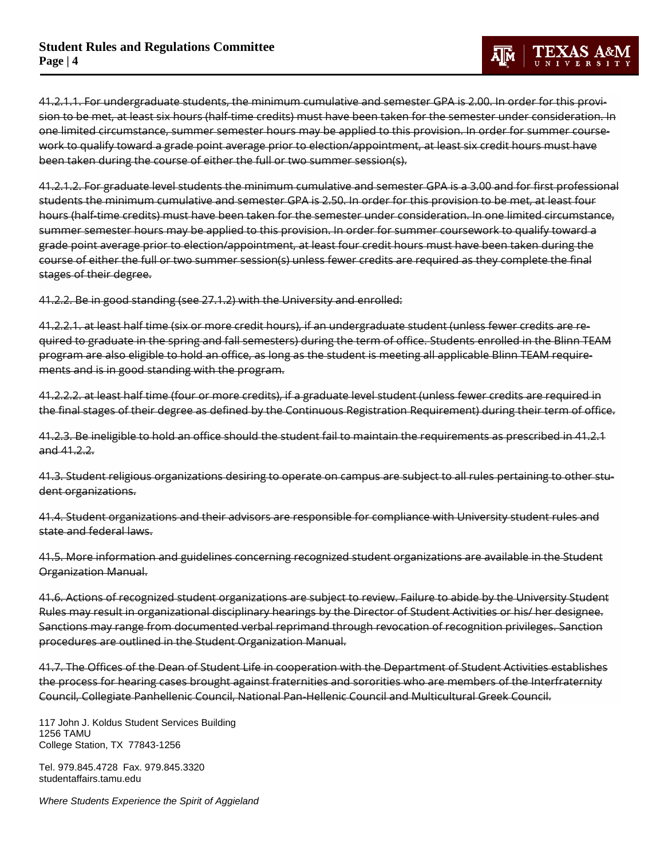41.2.1.1. For undergraduate students, the minimum cumulative and semester GPA is 2.00. In order for this provision to be met, at least six hours (half-time credits) must have been taken for the semester under consideration. In one limited circumstance, summer semester hours may be applied to this provision. In order for summer coursework to qualify toward a grade point average prior to election/appointment, at least six credit hours must have been taken during the course of either the full or two summer session(s).

41.2.1.2. For graduate level students the minimum cumulative and semester GPA is a 3.00 and for first professional students the minimum cumulative and semester GPA is 2.50. In order for this provision to be met, at least four hours (half-time credits) must have been taken for the semester under consideration. In one limited circumstance, summer semester hours may be applied to this provision. In order for summer coursework to qualify toward a grade point average prior to election/appointment, at least four credit hours must have been taken during the course of either the full or two summer session(s) unless fewer credits are required as they complete the final stages of their degree.

41.2.2. Be in good standing (see 27.1.2) with the University and enrolled:

41.2.2.1. at least half time (six or more credit hours), if an undergraduate student (unless fewer credits are required to graduate in the spring and fall semesters) during the term of office. Students enrolled in the Blinn TEAM program are also eligible to hold an office, as long as the student is meeting all applicable Blinn TEAM requirements and is in good standing with the program.

41.2.2.2. at least half time (four or more credits), if a graduate level student (unless fewer credits are required in the final stages of their degree as defined by the Continuous Registration Requirement) during their term of office.

41.2.3. Be ineligible to hold an office should the student fail to maintain the requirements as prescribed in 41.2.1 and 41.2.2.

41.3. Student religious organizations desiring to operate on campus are subject to all rules pertaining to other student organizations.

41.4. Student organizations and their advisors are responsible for compliance with University student rules and state and federal laws.

41.5. More information and guidelines concerning recognized student organizations are available in the Student Organization Manual.

41.6. Actions of recognized student organizations are subject to review. Failure to abide by the University Student Rules may result in organizational disciplinary hearings by the Director of Student Activities or his/ her designee. Sanctions may range from documented verbal reprimand through revocation of recognition privileges. Sanction procedures are outlined in the Student Organization Manual.

41.7. The Offices of the Dean of Student Life in cooperation with the Department of Student Activities establishes the process for hearing cases brought against fraternities and sororities who are members of the Interfraternity Council, Collegiate Panhellenic Council, National Pan-Hellenic Council and Multicultural Greek Council.

117 John J. Koldus Student Services Building 1256 TAMU College Station, TX 77843-1256

Tel. 979.845.4728 Fax. 979.845.3320 studentaffairs.tamu.edu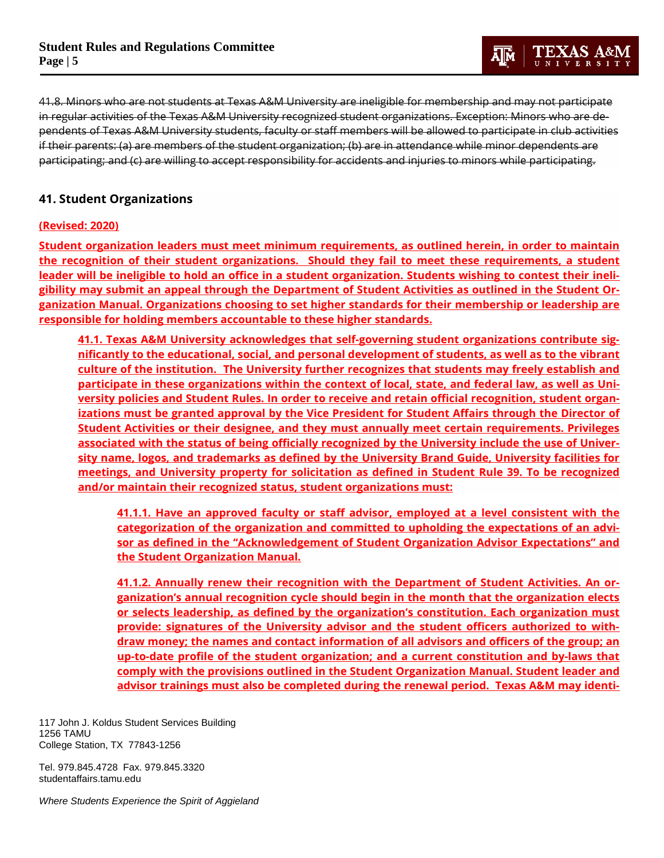41.8. Minors who are not students at Texas A&M University are ineligible for membership and may not participate in regular activities of the Texas A&M University recognized student organizations. Exception: Minors who are dependents of Texas A&M University students, faculty or staff members will be allowed to participate in club activities if their parents: (a) are members of the student organization; (b) are in attendance while minor dependents are participating; and (c) are willing to accept responsibility for accidents and injuries to minors while participating.

## **41. Student Organizations**

#### **(Revised: 2020)**

**Student organization leaders must meet minimum requirements, as outlined herein, in order to maintain the recognition of their student organizations. Should they fail to meet these requirements, a student leader will be ineligible to hold an office in a student organization. Students wishing to contest their ineligibility may submit an appeal through the Department of Student Activities as outlined in the [Student Or](https://studentactivities.tamu.edu/resources/organization-manual/)[ganization](https://studentactivities.tamu.edu/resources/organization-manual/) Manual. Organizations choosing to set higher standards for their membership or leadership are responsible for holding members accountable to these higher standards.**

**41.1. Texas A&M University acknowledges that self-governing student organizations contribute significantly to the educational, social, and personal development of students, as well as to the vibrant culture of the institution. The University further recognizes that students may freely establish and participate in these organizations within the context of local, state, and federal law, as well as University policies and Student Rules. In order to receive and retain official recognition, student organizations must be granted approval by the Vice President for Student Affairs through the Director of Student Activities or their designee, and they must annually meet certain requirements. Privileges associated with the status of being officially recognized by the University include the use of University name, logos, and trademarks as defined by the [University Brand Guide,](https://brandguide.tamu.edu/visual-style/logos/student-organizations.html) University facilities for meetings, and University property for solicitation as defined in [Student Rule 39.](https://student-rules.tamu.edu/rule39/) To be recognized and/or maintain their recognized status, student organizations must:**

**41.1.1. Have an approved faculty or staff advisor, employed at a level consistent with the categorization of the organization and committed to upholding the expectations of an advisor as defined in the "Acknowledgement of Student Organization Advisor Expectations" and the [Student Organization Manual.](https://studentactivities.tamu.edu/resources/organization-manual/)**

**41.1.2. Annually renew their recognition with the Department of Student Activities. An organization's annual recognition cycle should begin in the month that the organization elects or selects leadership, as defined by the organization's constitution. Each organization must provide: signatures of the University advisor and the student officers authorized to withdraw money; the names and contact information of all advisors and officers of the group; an up-to-date profile of the student organization; and a current constitution and by-laws that comply with the provisions outlined in the [Student Organization Manual.](https://studentactivities.tamu.edu/resources/organization-manual/) Student leader and advisor trainings must also be completed during the renewal period. Texas A&M may identi-**

117 John J. Koldus Student Services Building 1256 TAMU College Station, TX 77843-1256

Tel. 979.845.4728 Fax. 979.845.3320 studentaffairs.tamu.edu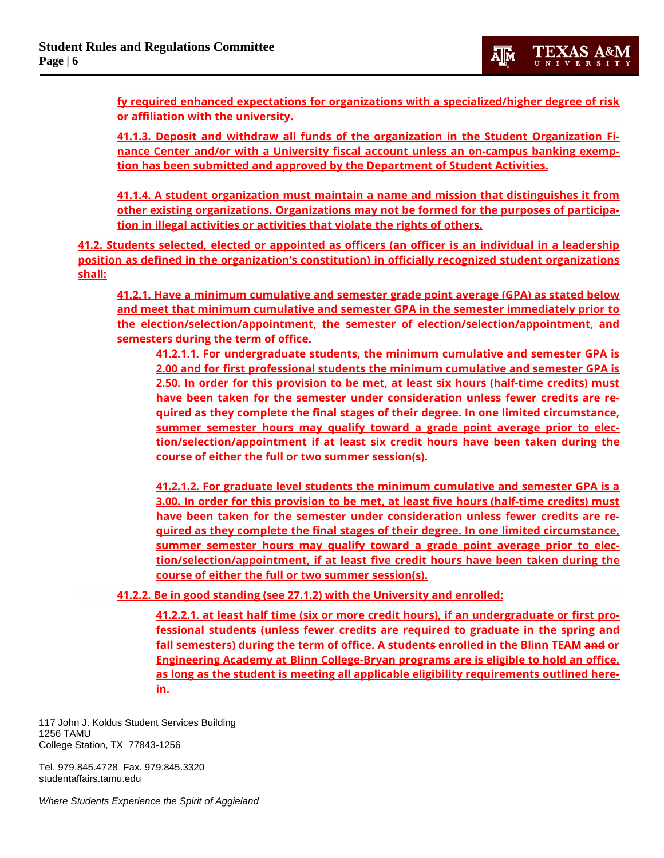**fy required enhanced expectations for organizations with a specialized/higher degree of risk or affiliation with the university.**

**41.1.3. Deposit and withdraw all funds of the organization in the Student Organization Finance Center and/or with a University fiscal account unless an on-campus banking exemption has been submitted and approved by the Department of Student Activities.**

**41.1.4. A student organization must maintain a name and mission that distinguishes it from other existing organizations. Organizations may not be formed for the purposes of participation in illegal activities or activities that violate the rights of others.** 

**41.2. Students selected, elected or appointed as officers (an officer is an individual in a leadership position as defined in the organization's constitution) in officially recognized student organizations shall:**

**41.2.1. Have a minimum cumulative and semester grade point average (GPA) as stated below and meet that minimum cumulative and semester GPA in the semester immediately prior to the election/selection/appointment, the semester of election/selection/appointment, and semesters during the term of office.**

**41.2.1.1. For undergraduate students, the minimum cumulative and semester GPA is 2.00 and for first professional students the minimum cumulative and semester GPA is 2.50. In order for this provision to be met, at least six hours (half-time credits) must have been taken for the semester under consideration unless fewer credits are required as they complete the final stages of their degree. In one limited circumstance, summer semester hours may qualify toward a grade point average prior to election/selection/appointment if at least six credit hours have been taken during the course of either the full or two summer session(s).**

**41.2.1.2. For graduate level students the minimum cumulative and semester GPA is a 3.00. In order for this provision to be met, at least five hours (half-time credits) must have been taken for the semester under consideration unless fewer credits are required as they complete the final stages of their degree. In one limited circumstance, summer semester hours may qualify toward a grade point average prior to election/selection/appointment, if at least five credit hours have been taken during the course of either the full or two summer session(s).**

**41.2.2. Be in good standing (see 27.1.2) with the University and enrolled:**

**41.2.2.1. at least half time (six or more credit hours), if an undergraduate or first professional students (unless fewer credits are required to graduate in the spring and fall semesters) during the term of office. A students enrolled in the Blinn TEAM and or Engineering Academy at Blinn College-Bryan programs are is eligible to hold an office, as long as the student is meeting all applicable eligibility requirements outlined herein.**

117 John J. Koldus Student Services Building 1256 TAMU College Station, TX 77843-1256

Tel. 979.845.4728 Fax. 979.845.3320 studentaffairs.tamu.edu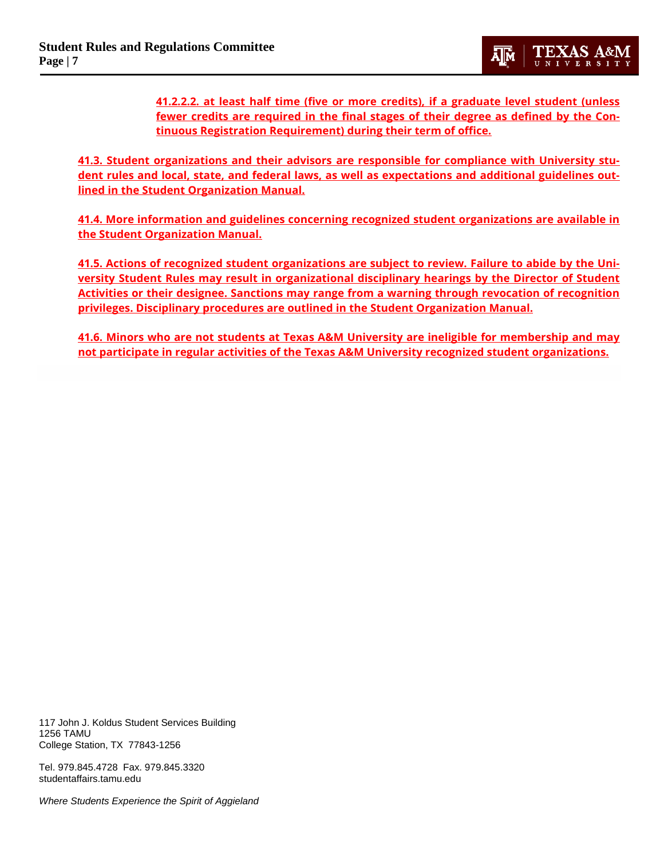**41.2.2.2. at least half time (five or more credits), if a graduate level student (unless fewer credits are required in the final stages of their degree as defined by the Continuous Registration Requirement) during their term of office.**

**41.3. Student organizations and their advisors are responsible for compliance with University student rules and local, state, and federal laws, as well as expectations and additional guidelines outlined in the [Student Organization Manual.](https://studentactivities.tamu.edu/resources/organization-manual/)**

**41.4. More information and guidelines concerning recognized student organizations are available in the [Student Organization Manual.](https://studentactivities.tamu.edu/resources/organization-manual/)**

**41.5. Actions of recognized student organizations are subject to review. Failure to abide by the University Student Rules may result in organizational disciplinary hearings by the Director of Student Activities or their designee. Sanctions may range from a warning through revocation of recognition privileges. Disciplinary procedures are outlined in th[e Student Organization Manual.](https://studentactivities.tamu.edu/resources/organization-manual/)**

**41.6. Minors who are not students at Texas A&M University are ineligible for membership and may not participate in regular activities of the Texas A&M University recognized student organizations.**

117 John J. Koldus Student Services Building 1256 TAMU College Station, TX 77843-1256

Tel. 979.845.4728 Fax. 979.845.3320 studentaffairs.tamu.edu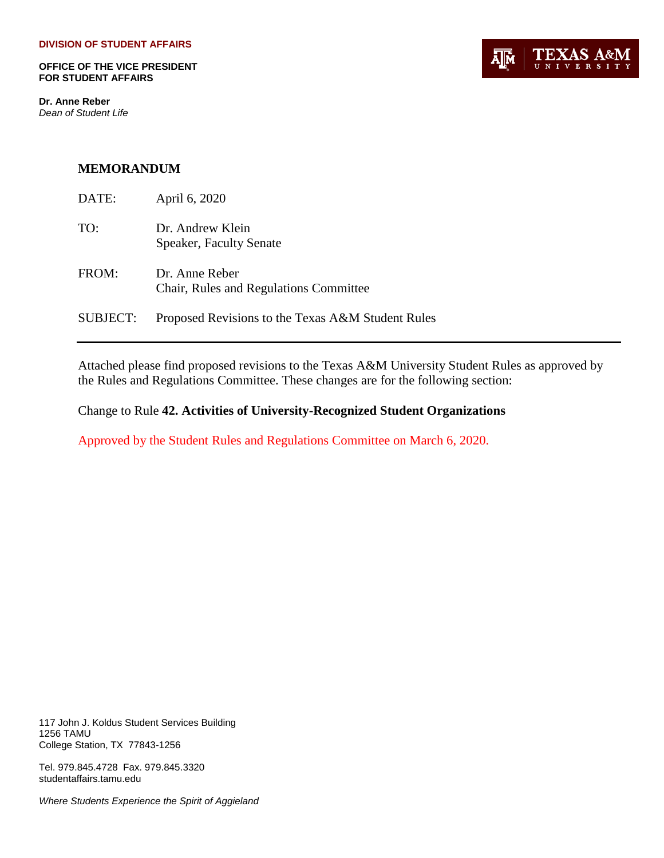**OFFICE OF THE VICE PRESIDENT FOR STUDENT AFFAIRS**

**Dr. Anne Reber** *Dean of Student Life*



#### **MEMORANDUM**

| DATE:    | April 6, 2020                                            |
|----------|----------------------------------------------------------|
| TO:      | Dr. Andrew Klein<br>Speaker, Faculty Senate              |
| FROM:    | Dr. Anne Reber<br>Chair, Rules and Regulations Committee |
| SUBJECT: | Proposed Revisions to the Texas A&M Student Rules        |

Attached please find proposed revisions to the Texas A&M University Student Rules as approved by the Rules and Regulations Committee. These changes are for the following section:

Change to Rule **42. Activities of University-Recognized Student Organizations**

Approved by the Student Rules and Regulations Committee on March 6, 2020.

117 John J. Koldus Student Services Building 1256 TAMU College Station, TX 77843-1256

Tel. 979.845.4728 Fax. 979.845.3320 studentaffairs.tamu.edu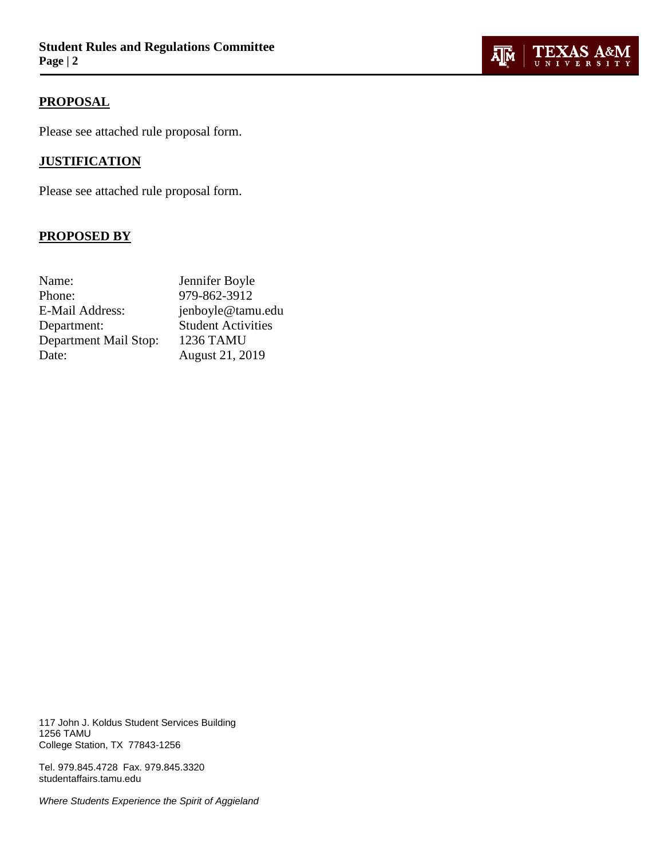## **PROPOSAL**

Please see attached rule proposal form.

## **JUSTIFICATION**

Please see attached rule proposal form.

## **PROPOSED BY**

| Name:                 | Jennifer Boyle            |
|-----------------------|---------------------------|
| Phone:                | 979-862-3912              |
| E-Mail Address:       | jenboyle@tamu.edu         |
| Department:           | <b>Student Activities</b> |
| Department Mail Stop: | <b>1236 TAMU</b>          |
| Date:                 | August 21, 2019           |

117 John J. Koldus Student Services Building 1256 TAMU College Station, TX 77843-1256

Tel. 979.845.4728 Fax. 979.845.3320 studentaffairs.tamu.edu

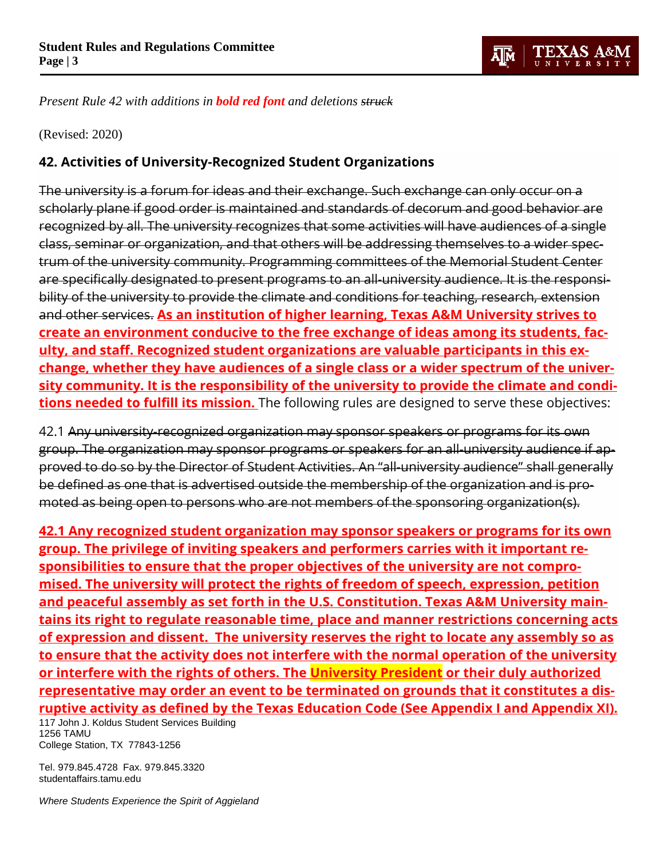

*Present Rule 42 with additions in bold red font and deletions struck*

(Revised: 2020)

## **42. Activities of University-Recognized Student Organizations**

The university is a forum for ideas and their exchange. Such exchange can only occur on a scholarly plane if good order is maintained and standards of decorum and good behavior are recognized by all. The university recognizes that some activities will have audiences of a single class, seminar or organization, and that others will be addressing themselves to a wider spectrum of the university community. Programming committees of the Memorial Student Center are specifically designated to present programs to an all-university audience. It is the responsibility of the university to provide the climate and conditions for teaching, research, extension and other services. **As an institution of higher learning, Texas A&M University strives to create an environment conducive to the free exchange of ideas among its students, faculty, and staff. Recognized student organizations are valuable participants in this exchange, whether they have audiences of a single class or a wider spectrum of the university community. It is the responsibility of the university to provide the climate and conditions needed to fulfill its mission.** The following rules are designed to serve these objectives:

42.1 Any university-recognized organization may sponsor speakers or programs for its own group. The organization may sponsor programs or speakers for an all-university audience if approved to do so by the Director of Student Activities. An "all-university audience" shall generally be defined as one that is advertised outside the membership of the organization and is promoted as being open to persons who are not members of the sponsoring organization(s).

117 John J. Koldus Student Services Building **42.1 Any recognized student organization may sponsor speakers or programs for its own group. The privilege of inviting speakers and performers carries with it important responsibilities to ensure that the proper objectives of the university are not compromised. The university will protect the rights of freedom of speech, expression, petition and peaceful assembly as set forth in the U.S. Constitution. Texas A&M University maintains its right to regulate reasonable time, place and manner restrictions concerning acts of expression and dissent. The university reserves the right to locate any assembly so as to ensure that the activity does not interfere with the normal operation of the university or interfere with the rights of others. The University President or their duly authorized representative may order an event to be terminated on grounds that it constitutes a disruptive activity as defined by the Texas Education Code (See Appendix I and Appendix XI).** 

1256 TAMU College Station, TX 77843-1256

Tel. 979.845.4728 Fax. 979.845.3320 studentaffairs.tamu.edu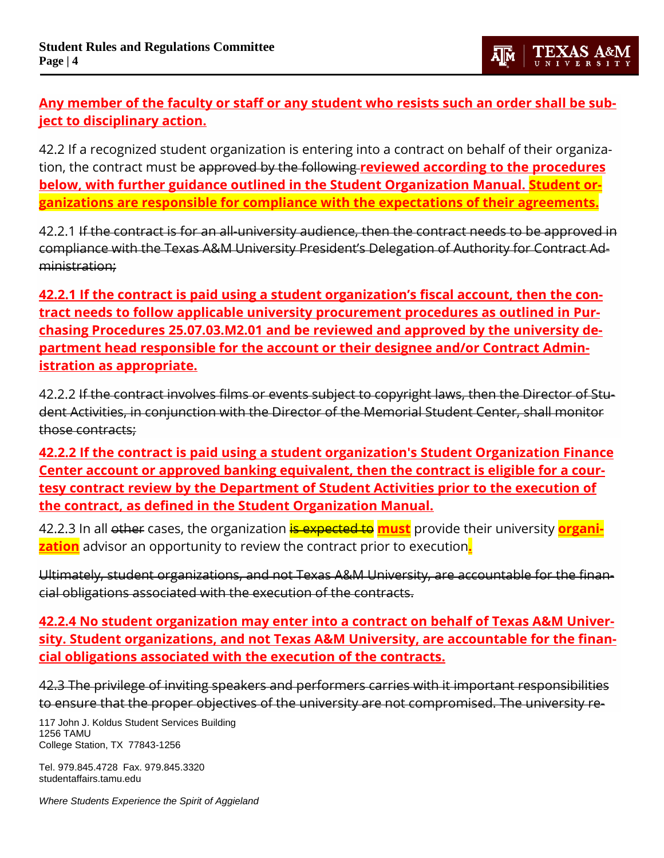# **Any member of the faculty or staff or any student who resists such an order shall be subject to disciplinary action.**

42.2 If a recognized student organization is entering into a contract on behalf of their organization, the contract must be approved by the following **reviewed according to the procedures below, with further guidance outlined in the Student Organization Manual. Student organizations are responsible for compliance with the expectations of their agreements.**

42.2.1 If the contract is for an all-university audience, then the contract needs to be approved in compliance with the Texas A&M University President's Delegation of Authority for Contract Administration;

**42.2.1 If the contract is paid using a student organization's fiscal account, then the contract needs to follow applicable university procurement procedures as outlined in Purchasing Procedures 25.07.03.M2.01 and be reviewed and approved by the university department head responsible for the account or their designee and/or Contract Administration as appropriate.**

42.2.2 If the contract involves films or events subject to copyright laws, then the Director of Student Activities, in conjunction with the Director of the Memorial Student Center, shall monitor those contracts;

**42.2.2 If the contract is paid using a student organization's Student Organization Finance Center account or approved banking equivalent, then the contract is eligible for a courtesy contract review by the Department of Student Activities prior to the execution of the contract, as defined in the Student Organization Manual.** 

42.2.3 In all other cases, the organization is expected to **must** provide their university **organization** advisor an opportunity to review the contract prior to execution**.**

Ultimately, student organizations, and not Texas A&M University, are accountable for the financial obligations associated with the execution of the contracts.

**42.2.4 No student organization may enter into a contract on behalf of Texas A&M University. Student organizations, and not Texas A&M University, are accountable for the financial obligations associated with the execution of the contracts.** 

42.3 The privilege of inviting speakers and performers carries with it important responsibilities to ensure that the proper objectives of the university are not compromised. The university re-

117 John J. Koldus Student Services Building 1256 TAMU College Station, TX 77843-1256

Tel. 979.845.4728 Fax. 979.845.3320 studentaffairs.tamu.edu